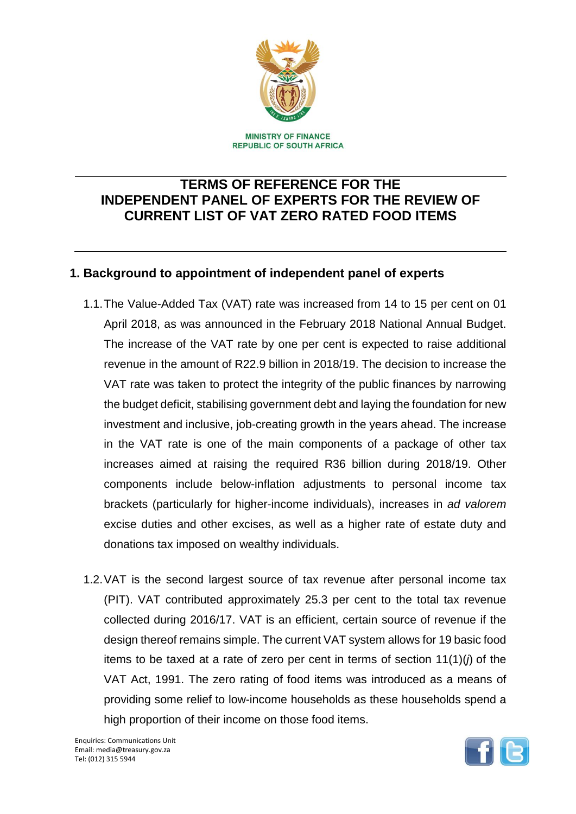

# **TERMS OF REFERENCE FOR THE INDEPENDENT PANEL OF EXPERTS FOR THE REVIEW OF CURRENT LIST OF VAT ZERO RATED FOOD ITEMS**

## **1. Background to appointment of independent panel of experts**

- 1.1.The Value-Added Tax (VAT) rate was increased from 14 to 15 per cent on 01 April 2018, as was announced in the February 2018 National Annual Budget. The increase of the VAT rate by one per cent is expected to raise additional revenue in the amount of R22.9 billion in 2018/19. The decision to increase the VAT rate was taken to protect the integrity of the public finances by narrowing the budget deficit, stabilising government debt and laying the foundation for new investment and inclusive, job-creating growth in the years ahead. The increase in the VAT rate is one of the main components of a package of other tax increases aimed at raising the required R36 billion during 2018/19. Other components include below-inflation adjustments to personal income tax brackets (particularly for higher-income individuals), increases in *ad valorem* excise duties and other excises, as well as a higher rate of estate duty and donations tax imposed on wealthy individuals.
- 1.2.VAT is the second largest source of tax revenue after personal income tax (PIT). VAT contributed approximately 25.3 per cent to the total tax revenue collected during 2016/17. VAT is an efficient, certain source of revenue if the design thereof remains simple. The current VAT system allows for 19 basic food items to be taxed at a rate of zero per cent in terms of section 11(1)(*j*) of the VAT Act, 1991. The zero rating of food items was introduced as a means of providing some relief to low-income households as these households spend a high proportion of their income on those food items.

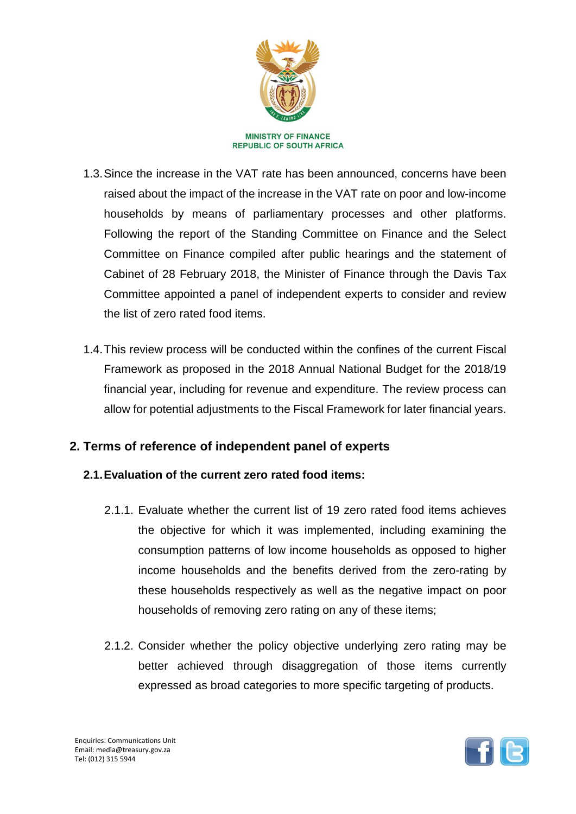

- 1.3.Since the increase in the VAT rate has been announced, concerns have been raised about the impact of the increase in the VAT rate on poor and low-income households by means of parliamentary processes and other platforms. Following the report of the Standing Committee on Finance and the Select Committee on Finance compiled after public hearings and the statement of Cabinet of 28 February 2018, the Minister of Finance through the Davis Tax Committee appointed a panel of independent experts to consider and review the list of zero rated food items.
- 1.4.This review process will be conducted within the confines of the current Fiscal Framework as proposed in the 2018 Annual National Budget for the 2018/19 financial year, including for revenue and expenditure. The review process can allow for potential adjustments to the Fiscal Framework for later financial years.

## **2. Terms of reference of independent panel of experts**

### **2.1.Evaluation of the current zero rated food items:**

- 2.1.1. Evaluate whether the current list of 19 zero rated food items achieves the objective for which it was implemented, including examining the consumption patterns of low income households as opposed to higher income households and the benefits derived from the zero-rating by these households respectively as well as the negative impact on poor households of removing zero rating on any of these items;
- 2.1.2. Consider whether the policy objective underlying zero rating may be better achieved through disaggregation of those items currently expressed as broad categories to more specific targeting of products.

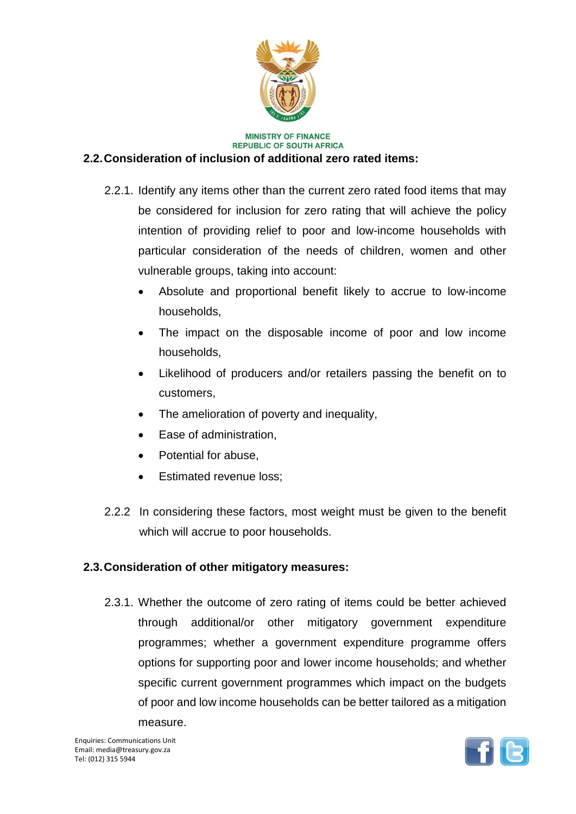

#### **MINISTRY OF FINANCE REPUBLIC OF SOUTH AFRICA**

#### **2.2.Consideration of inclusion of additional zero rated items:**

- 2.2.1. Identify any items other than the current zero rated food items that may be considered for inclusion for zero rating that will achieve the policy intention of providing relief to poor and low-income households with particular consideration of the needs of children, women and other vulnerable groups, taking into account:
	- Absolute and proportional benefit likely to accrue to low-income households,
	- The impact on the disposable income of poor and low income households,
	- Likelihood of producers and/or retailers passing the benefit on to customers,
	- The amelioration of poverty and inequality,
	- Ease of administration.
	- Potential for abuse,
	- Estimated revenue loss;
- 2.2.2 In considering these factors, most weight must be given to the benefit which will accrue to poor households.

### **2.3.Consideration of other mitigatory measures:**

2.3.1. Whether the outcome of zero rating of items could be better achieved through additional/or other mitigatory government expenditure programmes; whether a government expenditure programme offers options for supporting poor and lower income households; and whether specific current government programmes which impact on the budgets of poor and low income households can be better tailored as a mitigation measure.

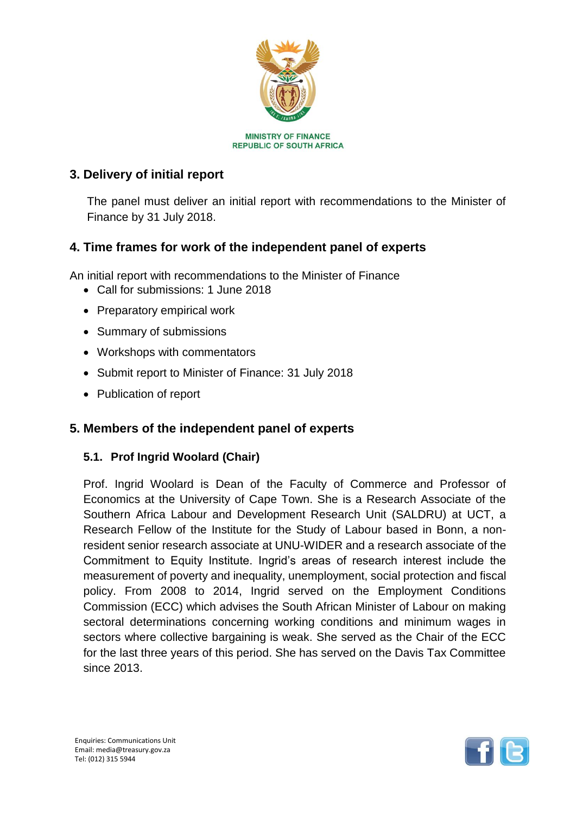

## **3. Delivery of initial report**

The panel must deliver an initial report with recommendations to the Minister of Finance by 31 July 2018.

## **4. Time frames for work of the independent panel of experts**

An initial report with recommendations to the Minister of Finance

- Call for submissions: 1 June 2018
- Preparatory empirical work
- Summary of submissions
- Workshops with commentators
- Submit report to Minister of Finance: 31 July 2018
- Publication of report

### **5. Members of the independent panel of experts**

#### **5.1. Prof Ingrid Woolard (Chair)**

Prof. Ingrid Woolard is Dean of the Faculty of Commerce and Professor of Economics at the University of Cape Town. She is a Research Associate of the Southern Africa Labour and Development Research Unit (SALDRU) at UCT, a Research Fellow of the Institute for the Study of Labour based in Bonn, a nonresident senior research associate at UNU-WIDER and a research associate of the Commitment to Equity Institute. Ingrid's areas of research interest include the measurement of poverty and inequality, unemployment, social protection and fiscal policy. From 2008 to 2014, Ingrid served on the Employment Conditions Commission (ECC) which advises the South African Minister of Labour on making sectoral determinations concerning working conditions and minimum wages in sectors where collective bargaining is weak. She served as the Chair of the ECC for the last three years of this period. She has served on the Davis Tax Committee since 2013.

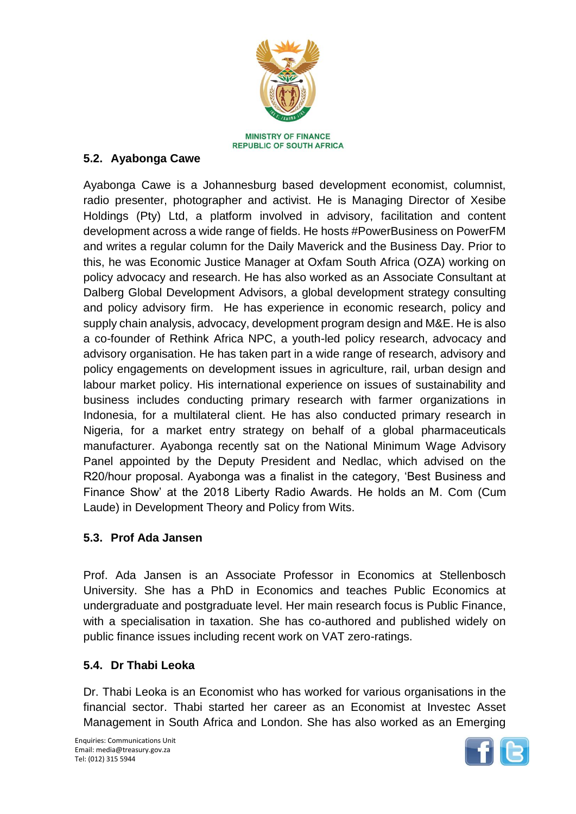

**REPUBLIC OF SOUTH AFRICA** 

## **5.2. Ayabonga Cawe**

Ayabonga Cawe is a Johannesburg based development economist, columnist, radio presenter, photographer and activist. He is Managing Director of Xesibe Holdings (Pty) Ltd, a platform involved in advisory, facilitation and content development across a wide range of fields. He hosts #PowerBusiness on PowerFM and writes a regular column for the Daily Maverick and the Business Day. Prior to this, he was Economic Justice Manager at Oxfam South Africa (OZA) working on policy advocacy and research. He has also worked as an Associate Consultant at Dalberg Global Development Advisors, a global development strategy consulting and policy advisory firm. He has experience in economic research, policy and supply chain analysis, advocacy, development program design and M&E. He is also a co-founder of Rethink Africa NPC, a youth-led policy research, advocacy and advisory organisation. He has taken part in a wide range of research, advisory and policy engagements on development issues in agriculture, rail, urban design and labour market policy. His international experience on issues of sustainability and business includes conducting primary research with farmer organizations in Indonesia, for a multilateral client. He has also conducted primary research in Nigeria, for a market entry strategy on behalf of a global pharmaceuticals manufacturer. Ayabonga recently sat on the National Minimum Wage Advisory Panel appointed by the Deputy President and Nedlac, which advised on the R20/hour proposal. Ayabonga was a finalist in the category, 'Best Business and Finance Show' at the 2018 Liberty Radio Awards. He holds an M. Com (Cum Laude) in Development Theory and Policy from Wits.

### **5.3. Prof Ada Jansen**

Prof. Ada Jansen is an Associate Professor in Economics at Stellenbosch University. She has a PhD in Economics and teaches Public Economics at undergraduate and postgraduate level. Her main research focus is Public Finance, with a specialisation in taxation. She has co-authored and published widely on public finance issues including recent work on VAT zero-ratings.

### **5.4. Dr Thabi Leoka**

Dr. Thabi Leoka is an Economist who has worked for various organisations in the financial sector. Thabi started her career as an Economist at Investec Asset Management in South Africa and London. She has also worked as an Emerging

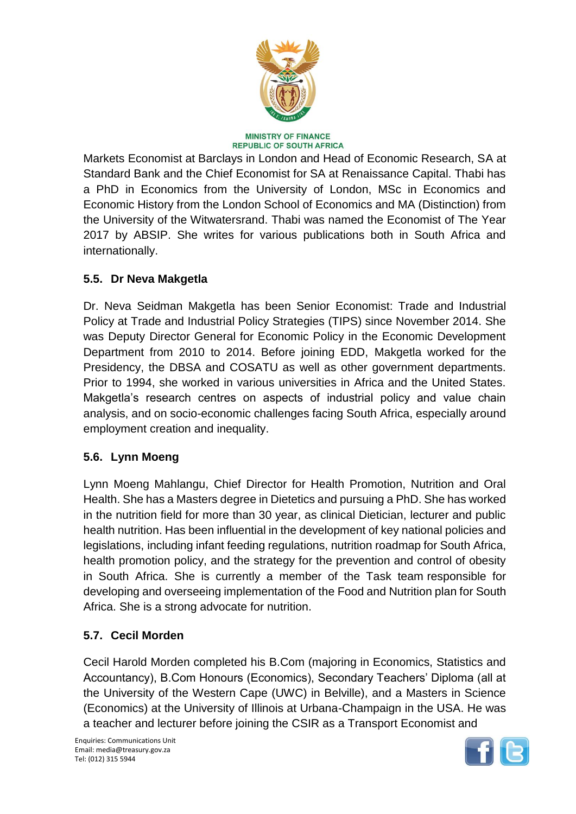

#### **MINISTRY OF FINANCE REPUBLIC OF SOUTH AFRICA**

Markets Economist at Barclays in London and Head of Economic Research, SA at Standard Bank and the Chief Economist for SA at Renaissance Capital. Thabi has a PhD in Economics from the University of London, MSc in Economics and Economic History from the London School of Economics and MA (Distinction) from the University of the Witwatersrand. Thabi was named the Economist of The Year 2017 by ABSIP. She writes for various publications both in South Africa and internationally.

## **5.5. Dr Neva Makgetla**

Dr. Neva Seidman Makgetla has been Senior Economist: Trade and Industrial Policy at Trade and Industrial Policy Strategies (TIPS) since November 2014. She was Deputy Director General for Economic Policy in the Economic Development Department from 2010 to 2014. Before joining EDD, Makgetla worked for the Presidency, the DBSA and COSATU as well as other government departments. Prior to 1994, she worked in various universities in Africa and the United States. Makgetla's research centres on aspects of industrial policy and value chain analysis, and on socio-economic challenges facing South Africa, especially around employment creation and inequality.

## **5.6. Lynn Moeng**

Lynn Moeng Mahlangu, Chief Director for Health Promotion, Nutrition and Oral Health. She has a Masters degree in Dietetics and pursuing a PhD. She has worked in the nutrition field for more than 30 year, as clinical Dietician, lecturer and public health nutrition. Has been influential in the development of key national policies and legislations, including infant feeding regulations, nutrition roadmap for South Africa, health promotion policy, and the strategy for the prevention and control of obesity in South Africa. She is currently a member of the Task team responsible for developing and overseeing implementation of the Food and Nutrition plan for South Africa. She is a strong advocate for nutrition.

## **5.7. Cecil Morden**

Cecil Harold Morden completed his B.Com (majoring in Economics, Statistics and Accountancy), B.Com Honours (Economics), Secondary Teachers' Diploma (all at the University of the Western Cape (UWC) in Belville), and a Masters in Science (Economics) at the University of Illinois at Urbana-Champaign in the USA. He was a teacher and lecturer before joining the CSIR as a Transport Economist and

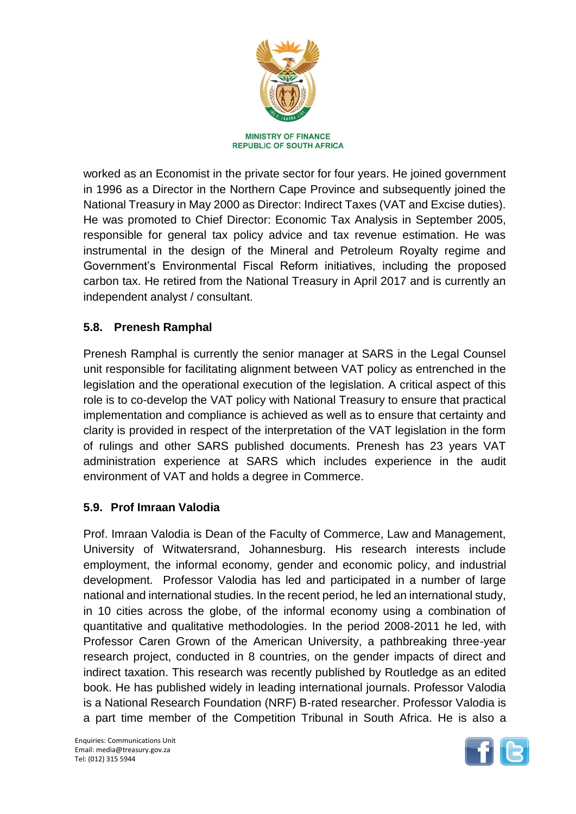

worked as an Economist in the private sector for four years. He joined government in 1996 as a Director in the Northern Cape Province and subsequently joined the National Treasury in May 2000 as Director: Indirect Taxes (VAT and Excise duties). He was promoted to Chief Director: Economic Tax Analysis in September 2005, responsible for general tax policy advice and tax revenue estimation. He was instrumental in the design of the Mineral and Petroleum Royalty regime and Government's Environmental Fiscal Reform initiatives, including the proposed carbon tax. He retired from the National Treasury in April 2017 and is currently an independent analyst / consultant.

## **5.8. Prenesh Ramphal**

Prenesh Ramphal is currently the senior manager at SARS in the Legal Counsel unit responsible for facilitating alignment between VAT policy as entrenched in the legislation and the operational execution of the legislation. A critical aspect of this role is to co-develop the VAT policy with National Treasury to ensure that practical implementation and compliance is achieved as well as to ensure that certainty and clarity is provided in respect of the interpretation of the VAT legislation in the form of rulings and other SARS published documents. Prenesh has 23 years VAT administration experience at SARS which includes experience in the audit environment of VAT and holds a degree in Commerce.

## **5.9. Prof Imraan Valodia**

Prof. Imraan Valodia is Dean of the Faculty of Commerce, Law and Management, University of Witwatersrand, Johannesburg. His research interests include employment, the informal economy, gender and economic policy, and industrial development. Professor Valodia has led and participated in a number of large national and international studies. In the recent period, he led an international study, in 10 cities across the globe, of the informal economy using a combination of quantitative and qualitative methodologies. In the period 2008-2011 he led, with Professor Caren Grown of the American University, a pathbreaking three-year research project, conducted in 8 countries, on the gender impacts of direct and indirect taxation. This research was recently published by Routledge as an edited book. He has published widely in leading international journals. Professor Valodia is a National Research Foundation (NRF) B-rated researcher. Professor Valodia is a part time member of the Competition Tribunal in South Africa. He is also a